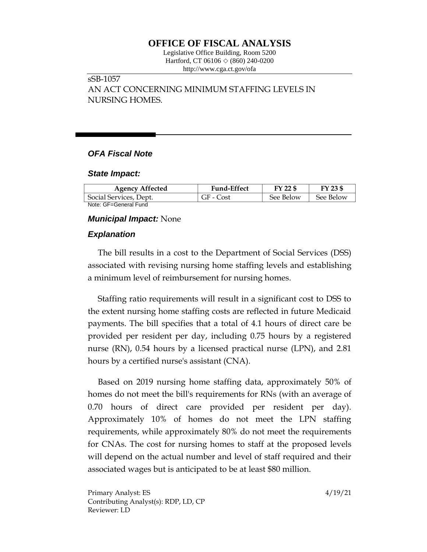# **OFFICE OF FISCAL ANALYSIS**

Legislative Office Building, Room 5200 Hartford, CT 06106 ◇ (860) 240-0200 http://www.cga.ct.gov/ofa

## sSB-1057

AN ACT CONCERNING MINIMUM STAFFING LEVELS IN NURSING HOMES.

## *OFA Fiscal Note*

#### *State Impact:*

| <b>Agency Affected</b> | <b>Fund-Effect</b> | FY 22 \$  | FY 23 \$  |
|------------------------|--------------------|-----------|-----------|
| Social Services, Dept. | GF - Cost          | See Below | See Below |
| Note: GF=General Fund  |                    |           |           |

#### *Municipal Impact:* None

## *Explanation*

The bill results in a cost to the Department of Social Services (DSS) associated with revising nursing home staffing levels and establishing a minimum level of reimbursement for nursing homes.

Staffing ratio requirements will result in a significant cost to DSS to the extent nursing home staffing costs are reflected in future Medicaid payments. The bill specifies that a total of 4.1 hours of direct care be provided per resident per day, including 0.75 hours by a registered nurse (RN), 0.54 hours by a licensed practical nurse (LPN), and 2.81 hours by a certified nurse's assistant (CNA).

Based on 2019 nursing home staffing data, approximately 50% of homes do not meet the bill's requirements for RNs (with an average of 0.70 hours of direct care provided per resident per day). Approximately 10% of homes do not meet the LPN staffing requirements, while approximately 80% do not meet the requirements for CNAs. The cost for nursing homes to staff at the proposed levels will depend on the actual number and level of staff required and their associated wages but is anticipated to be at least \$80 million.